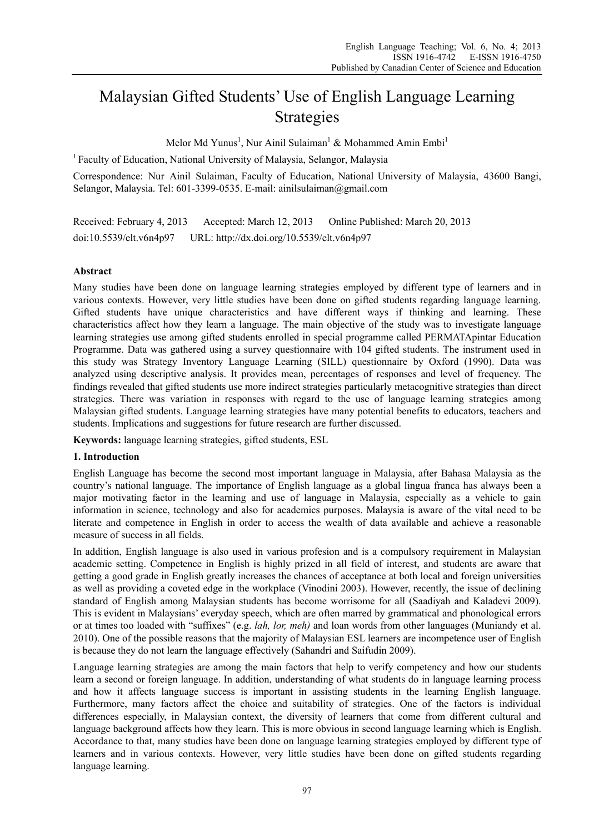# Malaysian Gifted Students' Use of English Language Learning Strategies

Melor Md Yunus<sup>1</sup>, Nur Ainil Sulaiman<sup>1</sup> & Mohammed Amin Embi<sup>1</sup>

<sup>1</sup> Faculty of Education, National University of Malaysia, Selangor, Malaysia

Correspondence: Nur Ainil Sulaiman, Faculty of Education, National University of Malaysia, 43600 Bangi, Selangor, Malaysia. Tel: 601-3399-0535. E-mail: ainilsulaiman@gmail.com

Received: February 4, 2013 Accepted: March 12, 2013 Online Published: March 20, 2013 doi:10.5539/elt.v6n4p97 URL: http://dx.doi.org/10.5539/elt.v6n4p97

# **Abstract**

Many studies have been done on language learning strategies employed by different type of learners and in various contexts. However, very little studies have been done on gifted students regarding language learning. Gifted students have unique characteristics and have different ways if thinking and learning. These characteristics affect how they learn a language. The main objective of the study was to investigate language learning strategies use among gifted students enrolled in special programme called PERMATApintar Education Programme. Data was gathered using a survey questionnaire with 104 gifted students. The instrument used in this study was Strategy Inventory Language Learning (SILL) questionnaire by Oxford (1990). Data was analyzed using descriptive analysis. It provides mean, percentages of responses and level of frequency. The findings revealed that gifted students use more indirect strategies particularly metacognitive strategies than direct strategies. There was variation in responses with regard to the use of language learning strategies among Malaysian gifted students. Language learning strategies have many potential benefits to educators, teachers and students. Implications and suggestions for future research are further discussed.

**Keywords:** language learning strategies, gifted students, ESL

# **1. Introduction**

English Language has become the second most important language in Malaysia, after Bahasa Malaysia as the country's national language. The importance of English language as a global lingua franca has always been a major motivating factor in the learning and use of language in Malaysia, especially as a vehicle to gain information in science, technology and also for academics purposes. Malaysia is aware of the vital need to be literate and competence in English in order to access the wealth of data available and achieve a reasonable measure of success in all fields.

In addition, English language is also used in various profesion and is a compulsory requirement in Malaysian academic setting. Competence in English is highly prized in all field of interest, and students are aware that getting a good grade in English greatly increases the chances of acceptance at both local and foreign universities as well as providing a coveted edge in the workplace (Vinodini 2003). However, recently, the issue of declining standard of English among Malaysian students has become worrisome for all (Saadiyah and Kaladevi 2009). This is evident in Malaysians' everyday speech, which are often marred by grammatical and phonological errors or at times too loaded with "suffixes" (e.g. *lah, lor, meh)* and loan words from other languages (Muniandy et al. 2010). One of the possible reasons that the majority of Malaysian ESL learners are incompetence user of English is because they do not learn the language effectively (Sahandri and Saifudin 2009).

Language learning strategies are among the main factors that help to verify competency and how our students learn a second or foreign language. In addition, understanding of what students do in language learning process and how it affects language success is important in assisting students in the learning English language. Furthermore, many factors affect the choice and suitability of strategies. One of the factors is individual differences especially, in Malaysian context, the diversity of learners that come from different cultural and language background affects how they learn. This is more obvious in second language learning which is English. Accordance to that, many studies have been done on language learning strategies employed by different type of learners and in various contexts. However, very little studies have been done on gifted students regarding language learning.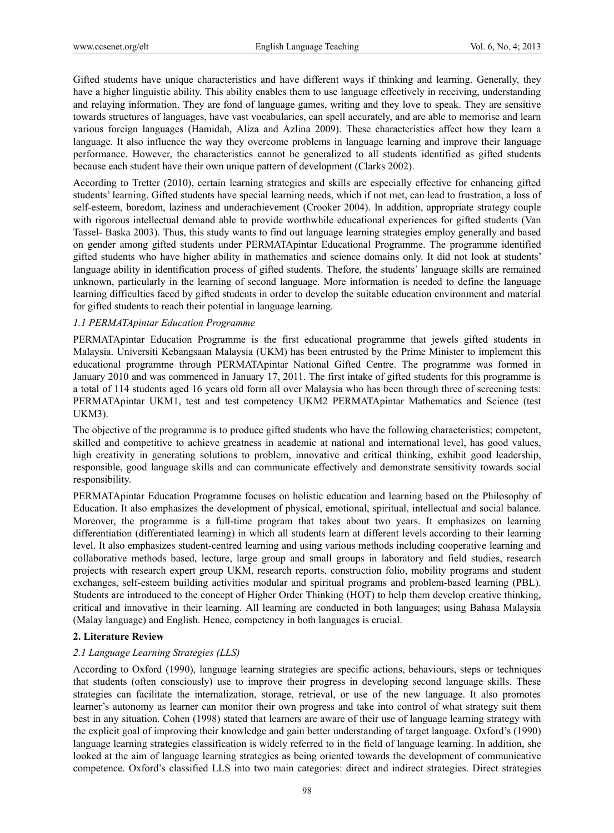Gifted students have unique characteristics and have different ways if thinking and learning. Generally, they have a higher linguistic ability. This ability enables them to use language effectively in receiving, understanding and relaying information. They are fond of language games, writing and they love to speak. They are sensitive towards structures of languages, have vast vocabularies, can spell accurately, and are able to memorise and learn various foreign languages (Hamidah, Aliza and Azlina 2009). These characteristics affect how they learn a language. It also influence the way they overcome problems in language learning and improve their language performance. However, the characteristics cannot be generalized to all students identified as gifted students because each student have their own unique pattern of development (Clarks 2002).

According to Tretter (2010), certain learning strategies and skills are especially effective for enhancing gifted students' learning. Gifted students have special learning needs, which if not met, can lead to frustration, a loss of self-esteem, boredom, laziness and underachievement (Crooker 2004). In addition, appropriate strategy couple with rigorous intellectual demand able to provide worthwhile educational experiences for gifted students (Van Tassel- Baska 2003). Thus, this study wants to find out language learning strategies employ generally and based on gender among gifted students under PERMATApintar Educational Programme. The programme identified gifted students who have higher ability in mathematics and science domains only. It did not look at students' language ability in identification process of gifted students. Thefore, the students' language skills are remained unknown, particularly in the learning of second language. More information is needed to define the language learning difficulties faced by gifted students in order to develop the suitable education environment and material for gifted students to reach their potential in language learning*.* 

# *1.1 PERMATApintar Education Programme*

PERMATApintar Education Programme is the first educational programme that jewels gifted students in Malaysia. Universiti Kebangsaan Malaysia (UKM) has been entrusted by the Prime Minister to implement this educational programme through PERMATApintar National Gifted Centre. The programme was formed in January 2010 and was commenced in January 17, 2011. The first intake of gifted students for this programme is a total of 114 students aged 16 years old form all over Malaysia who has been through three of screening tests: PERMATApintar UKM1, test and test competency UKM2 PERMATApintar Mathematics and Science (test UKM3).

The objective of the programme is to produce gifted students who have the following characteristics; competent, skilled and competitive to achieve greatness in academic at national and international level, has good values, high creativity in generating solutions to problem, innovative and critical thinking, exhibit good leadership, responsible, good language skills and can communicate effectively and demonstrate sensitivity towards social responsibility.

PERMATApintar Education Programme focuses on holistic education and learning based on the Philosophy of Education. It also emphasizes the development of physical, emotional, spiritual, intellectual and social balance. Moreover, the programme is a full-time program that takes about two years. It emphasizes on learning differentiation (differentiated learning) in which all students learn at different levels according to their learning level. It also emphasizes student-centred learning and using various methods including cooperative learning and collaborative methods based, lecture, large group and small groups in laboratory and field studies, research projects with research expert group UKM, research reports, construction folio, mobility programs and student exchanges, self-esteem building activities modular and spiritual programs and problem-based learning (PBL). Students are introduced to the concept of Higher Order Thinking (HOT) to help them develop creative thinking, critical and innovative in their learning. All learning are conducted in both languages; using Bahasa Malaysia (Malay language) and English. Hence, competency in both languages is crucial.

# **2. Literature Review**

# *2.1 Language Learning Strategies (LLS)*

According to Oxford (1990), language learning strategies are specific actions, behaviours, steps or techniques that students (often consciously) use to improve their progress in developing second language skills. These strategies can facilitate the internalization, storage, retrieval, or use of the new language. It also promotes learner's autonomy as learner can monitor their own progress and take into control of what strategy suit them best in any situation. Cohen (1998) stated that learners are aware of their use of language learning strategy with the explicit goal of improving their knowledge and gain better understanding of target language. Oxford's (1990) language learning strategies classification is widely referred to in the field of language learning. In addition, she looked at the aim of language learning strategies as being oriented towards the development of communicative competence. Oxford's classified LLS into two main categories: direct and indirect strategies. Direct strategies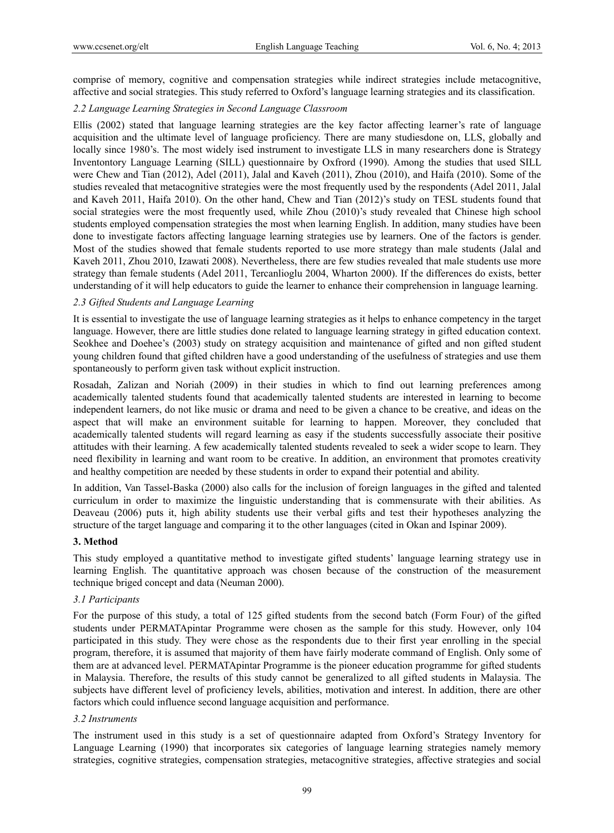comprise of memory, cognitive and compensation strategies while indirect strategies include metacognitive, affective and social strategies. This study referred to Oxford's language learning strategies and its classification.

# *2.2 Language Learning Strategies in Second Language Classroom*

Ellis (2002) stated that language learning strategies are the key factor affecting learner's rate of language acquisition and the ultimate level of language proficiency. There are many studiesdone on, LLS, globally and locally since 1980's. The most widely ised instrument to investigate LLS in many researchers done is Strategy Inventontory Language Learning (SILL) questionnaire by Oxfrord (1990). Among the studies that used SILL were Chew and Tian (2012), Adel (2011), Jalal and Kaveh (2011), Zhou (2010), and Haifa (2010). Some of the studies revealed that metacognitive strategies were the most frequently used by the respondents (Adel 2011, Jalal and Kaveh 2011, Haifa 2010). On the other hand, Chew and Tian (2012)'s study on TESL students found that social strategies were the most frequently used, while Zhou (2010)'s study revealed that Chinese high school students employed compensation strategies the most when learning English. In addition, many studies have been done to investigate factors affecting language learning strategies use by learners. One of the factors is gender. Most of the studies showed that female students reported to use more strategy than male students (Jalal and Kaveh 2011, Zhou 2010, Izawati 2008). Nevertheless, there are few studies revealed that male students use more strategy than female students (Adel 2011, Tercanlioglu 2004, Wharton 2000). If the differences do exists, better understanding of it will help educators to guide the learner to enhance their comprehension in language learning.

#### *2.3 Gifted Students and Language Learning*

It is essential to investigate the use of language learning strategies as it helps to enhance competency in the target language. However, there are little studies done related to language learning strategy in gifted education context. Seokhee and Doehee's (2003) study on strategy acquisition and maintenance of gifted and non gifted student young children found that gifted children have a good understanding of the usefulness of strategies and use them spontaneously to perform given task without explicit instruction.

Rosadah, Zalizan and Noriah (2009) in their studies in which to find out learning preferences among academically talented students found that academically talented students are interested in learning to become independent learners, do not like music or drama and need to be given a chance to be creative, and ideas on the aspect that will make an environment suitable for learning to happen. Moreover, they concluded that academically talented students will regard learning as easy if the students successfully associate their positive attitudes with their learning. A few academically talented students revealed to seek a wider scope to learn. They need flexibility in learning and want room to be creative. In addition, an environment that promotes creativity and healthy competition are needed by these students in order to expand their potential and ability.

In addition, Van Tassel-Baska (2000) also calls for the inclusion of foreign languages in the gifted and talented curriculum in order to maximize the linguistic understanding that is commensurate with their abilities. As Deaveau (2006) puts it, high ability students use their verbal gifts and test their hypotheses analyzing the structure of the target language and comparing it to the other languages (cited in Okan and Ispinar 2009).

#### **3. Method**

This study employed a quantitative method to investigate gifted students' language learning strategy use in learning English. The quantitative approach was chosen because of the construction of the measurement technique briged concept and data (Neuman 2000).

#### *3.1 Participants*

For the purpose of this study, a total of 125 gifted students from the second batch (Form Four) of the gifted students under PERMATApintar Programme were chosen as the sample for this study. However, only 104 participated in this study. They were chose as the respondents due to their first year enrolling in the special program, therefore, it is assumed that majority of them have fairly moderate command of English. Only some of them are at advanced level. PERMATApintar Programme is the pioneer education programme for gifted students in Malaysia. Therefore, the results of this study cannot be generalized to all gifted students in Malaysia. The subjects have different level of proficiency levels, abilities, motivation and interest. In addition, there are other factors which could influence second language acquisition and performance.

#### *3.2 Instruments*

The instrument used in this study is a set of questionnaire adapted from Oxford's Strategy Inventory for Language Learning (1990) that incorporates six categories of language learning strategies namely memory strategies, cognitive strategies, compensation strategies, metacognitive strategies, affective strategies and social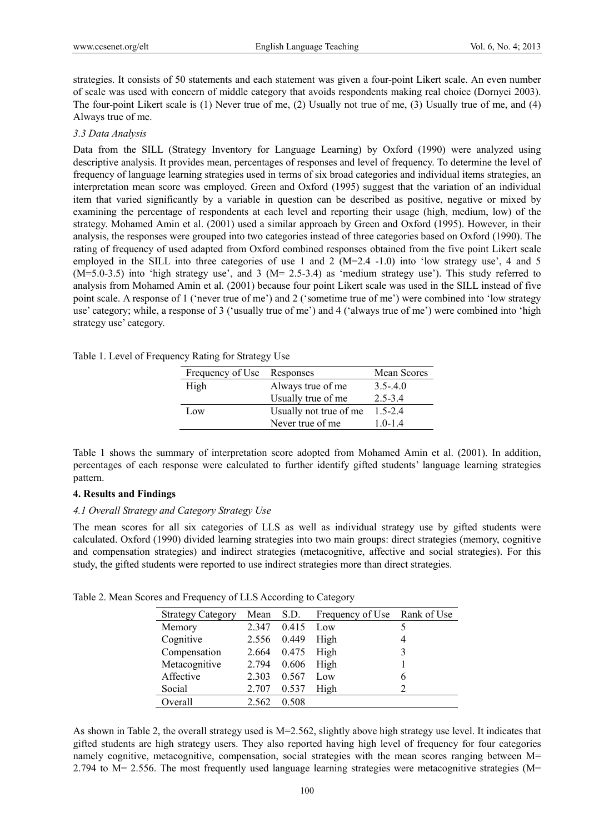strategies. It consists of 50 statements and each statement was given a four-point Likert scale. An even number of scale was used with concern of middle category that avoids respondents making real choice (Dornyei 2003). The four-point Likert scale is (1) Never true of me, (2) Usually not true of me, (3) Usually true of me, and (4) Always true of me.

#### *3.3 Data Analysis*

Data from the SILL (Strategy Inventory for Language Learning) by Oxford (1990) were analyzed using descriptive analysis. It provides mean, percentages of responses and level of frequency. To determine the level of frequency of language learning strategies used in terms of six broad categories and individual items strategies, an interpretation mean score was employed. Green and Oxford (1995) suggest that the variation of an individual item that varied significantly by a variable in question can be described as positive, negative or mixed by examining the percentage of respondents at each level and reporting their usage (high, medium, low) of the strategy. Mohamed Amin et al. (2001) used a similar approach by Green and Oxford (1995). However, in their analysis, the responses were grouped into two categories instead of three categories based on Oxford (1990). The rating of frequency of used adapted from Oxford combined responses obtained from the five point Likert scale employed in the SILL into three categories of use 1 and 2 (M=2.4 -1.0) into 'low strategy use', 4 and 5 (M=5.0-3.5) into 'high strategy use', and 3 (M= 2.5-3.4) as 'medium strategy use'). This study referred to analysis from Mohamed Amin et al. (2001) because four point Likert scale was used in the SILL instead of five point scale. A response of 1 ('never true of me') and 2 ('sometime true of me') were combined into 'low strategy use' category; while, a response of 3 ('usually true of me') and 4 ('always true of me') were combined into 'high strategy use' category.

Table 1. Level of Frequency Rating for Strategy Use

| Frequency of Use | Responses              | Mean Scores |
|------------------|------------------------|-------------|
| High             | Always true of me      | $3.5 - 4.0$ |
|                  | Usually true of me     | $2.5 - 3.4$ |
| Low              | Usually not true of me | $1.5 - 2.4$ |
|                  | Never true of me       | $10-14$     |

Table 1 shows the summary of interpretation score adopted from Mohamed Amin et al. (2001). In addition, percentages of each response were calculated to further identify gifted students' language learning strategies pattern.

# **4. Results and Findings**

# *4.1 Overall Strategy and Category Strategy Use*

The mean scores for all six categories of LLS as well as individual strategy use by gifted students were calculated. Oxford (1990) divided learning strategies into two main groups: direct strategies (memory, cognitive and compensation strategies) and indirect strategies (metacognitive, affective and social strategies). For this study, the gifted students were reported to use indirect strategies more than direct strategies.

Table 2. Mean Scores and Frequency of LLS According to Category

| <b>Strategy Category</b> | Mean  | S.D.  | Frequency of Use Rank of Use |   |
|--------------------------|-------|-------|------------------------------|---|
| Memory                   | 2.347 | 0.415 | Low                          |   |
| Cognitive                | 2.556 | 0.449 | High                         | 4 |
| Compensation             | 2.664 | 0.475 | High                         |   |
| Metacognitive            | 2.794 | 0.606 | High                         |   |
| Affective                | 2.303 | 0.567 | Low                          | b |
| Social                   | 2.707 | 0.537 | High                         |   |
| Overall                  | 2.562 | 0 508 |                              |   |

As shown in Table 2, the overall strategy used is M=2.562, slightly above high strategy use level. It indicates that gifted students are high strategy users. They also reported having high level of frequency for four categories namely cognitive, metacognitive, compensation, social strategies with the mean scores ranging between M= 2.794 to M= 2.556. The most frequently used language learning strategies were metacognitive strategies (M=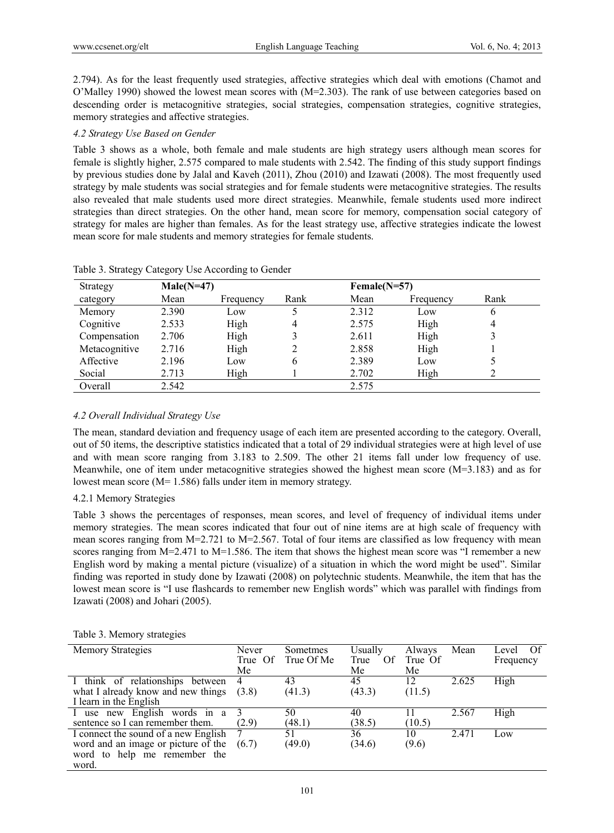2.794). As for the least frequently used strategies, affective strategies which deal with emotions (Chamot and O'Malley 1990) showed the lowest mean scores with (M=2.303). The rank of use between categories based on descending order is metacognitive strategies, social strategies, compensation strategies, cognitive strategies, memory strategies and affective strategies.

#### *4.2 Strategy Use Based on Gender*

Table 3 shows as a whole, both female and male students are high strategy users although mean scores for female is slightly higher, 2.575 compared to male students with 2.542. The finding of this study support findings by previous studies done by Jalal and Kaveh (2011), Zhou (2010) and Izawati (2008). The most frequently used strategy by male students was social strategies and for female students were metacognitive strategies. The results also revealed that male students used more direct strategies. Meanwhile, female students used more indirect strategies than direct strategies. On the other hand, mean score for memory, compensation social category of strategy for males are higher than females. As for the least strategy use, affective strategies indicate the lowest mean score for male students and memory strategies for female students.

| Strategy      | $Male(N=47)$ |           |      | $Female(N=57)$ |           |      |
|---------------|--------------|-----------|------|----------------|-----------|------|
| category      | Mean         | Frequency | Rank | Mean           | Frequency | Rank |
| Memory        | 2.390        | Low       |      | 2.312          | Low       | 6    |
| Cognitive     | 2.533        | High      | 4    | 2.575          | High      | 4    |
| Compensation  | 2.706        | High      |      | 2.611          | High      |      |
| Metacognitive | 2.716        | High      | າ    | 2.858          | High      |      |
| Affective     | 2.196        | Low       | 6    | 2.389          | Low       |      |
| Social        | 2.713        | High      |      | 2.702          | High      |      |
| Overall       | 2.542        |           |      | 2.575          |           |      |

#### Table 3. Strategy Category Use According to Gender

# *4.2 Overall Individual Strategy Use*

The mean, standard deviation and frequency usage of each item are presented according to the category. Overall, out of 50 items, the descriptive statistics indicated that a total of 29 individual strategies were at high level of use and with mean score ranging from 3.183 to 2.509. The other 21 items fall under low frequency of use. Meanwhile, one of item under metacognitive strategies showed the highest mean score (M=3.183) and as for lowest mean score (M= 1.586) falls under item in memory strategy.

# 4.2.1 Memory Strategies

Table 3 shows the percentages of responses, mean scores, and level of frequency of individual items under memory strategies. The mean scores indicated that four out of nine items are at high scale of frequency with mean scores ranging from M=2.721 to M=2.567. Total of four items are classified as low frequency with mean scores ranging from M=2.471 to M=1.586. The item that shows the highest mean score was "I remember a new English word by making a mental picture (visualize) of a situation in which the word might be used". Similar finding was reported in study done by Izawati (2008) on polytechnic students. Meanwhile, the item that has the lowest mean score is "I use flashcards to remember new English words" which was parallel with findings from Izawati (2008) and Johari (2005).

|  |  | Table 3. Memory strategies |
|--|--|----------------------------|
|--|--|----------------------------|

| <b>Memory Strategies</b>                                                                                             | Never<br>True Of<br>Me | Sometmes<br>True Of Me | Usually<br>Of<br>True<br>Me | Always<br>True Of<br>Me | Mean  | Level Of<br>Frequency |
|----------------------------------------------------------------------------------------------------------------------|------------------------|------------------------|-----------------------------|-------------------------|-------|-----------------------|
| I think of relationships<br>between<br>what I already know and new things<br>I learn in the English                  | 4<br>(3.8)             | 43<br>(41.3)           | 45<br>(43.3)                | 12<br>(11.5)            | 2.625 | High                  |
| I use new English words in a<br>sentence so I can remember them.                                                     | (2.9)                  | 50<br>(48.1)           | 40<br>(38.5)                | 11<br>(10.5)            | 2.567 | High                  |
| I connect the sound of a new English<br>word and an image or picture of the<br>word to help me remember the<br>word. | (6.7)                  | 51<br>(49.0)           | 36<br>(34.6)                | 10<br>(9.6)             | 2.471 | Low                   |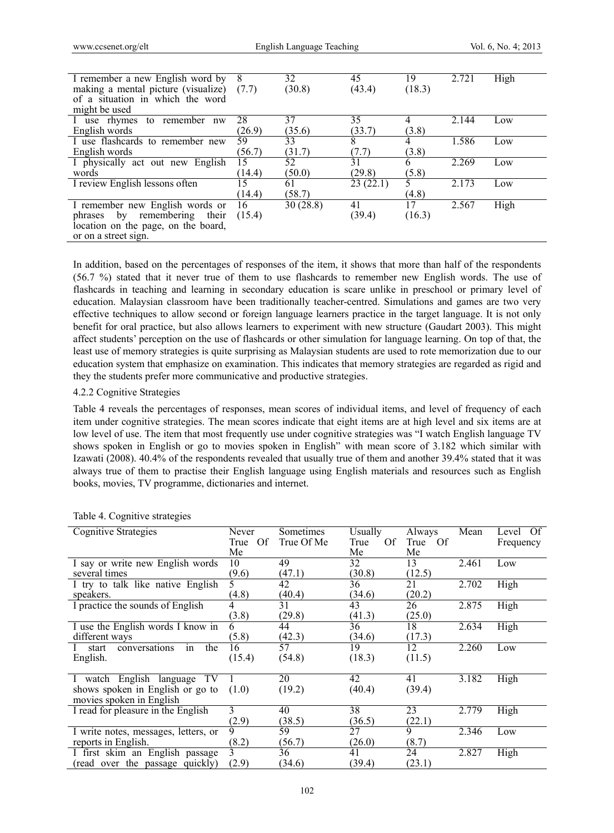| I remember a new English word by    | 8      | 32       | 45       | 19     | 2.721 | High |
|-------------------------------------|--------|----------|----------|--------|-------|------|
| making a mental picture (visualize) | (7.7)  | (30.8)   | (43.4)   | (18.3) |       |      |
| of a situation in which the word    |        |          |          |        |       |      |
| might be used                       |        |          |          |        |       |      |
| I use rhymes<br>to remember<br>nw   | 28     | 37       | 35       |        | 2.144 | Low  |
| English words                       | (26.9) | (35.6)   | (33.7)   | (3.8)  |       |      |
| I use flashcards to remember new    | 59     | 33       | 8        |        | 1.586 | Low  |
| English words                       | (56.7) | (31.7)   | (7.7)    | (3.8)  |       |      |
| I physically act out new English    | 15.    | 52       | 31       | 6      | 2.269 | Low  |
| words                               | (14.4) | (50.0)   | (29.8)   | (5.8)  |       |      |
| I review English lessons often      | 15     | 61       | 23(22.1) |        | 2.173 | Low  |
|                                     | (14.4) | (58.7)   |          | (4.8)  |       |      |
| I remember new English words or     | 16     | 30(28.8) | 41       | 17     | 2.567 | High |
| by remembering their<br>phrases     | (15.4) |          | (39.4)   | (16.3) |       |      |
| location on the page, on the board, |        |          |          |        |       |      |
| or on a street sign.                |        |          |          |        |       |      |
|                                     |        |          |          |        |       |      |

In addition, based on the percentages of responses of the item, it shows that more than half of the respondents (56.7 %) stated that it never true of them to use flashcards to remember new English words. The use of flashcards in teaching and learning in secondary education is scare unlike in preschool or primary level of education. Malaysian classroom have been traditionally teacher-centred. Simulations and games are two very effective techniques to allow second or foreign language learners practice in the target language. It is not only benefit for oral practice, but also allows learners to experiment with new structure (Gaudart 2003). This might affect students' perception on the use of flashcards or other simulation for language learning. On top of that, the least use of memory strategies is quite surprising as Malaysian students are used to rote memorization due to our education system that emphasize on examination. This indicates that memory strategies are regarded as rigid and they the students prefer more communicative and productive strategies.

#### 4.2.2 Cognitive Strategies

Table 4 reveals the percentages of responses, mean scores of individual items, and level of frequency of each item under cognitive strategies. The mean scores indicate that eight items are at high level and six items are at low level of use. The item that most frequently use under cognitive strategies was "I watch English language TV shows spoken in English or go to movies spoken in English" with mean score of 3.182 which similar with Izawati (2008). 40.4% of the respondents revealed that usually true of them and another 39.4% stated that it was always true of them to practise their English language using English materials and resources such as English books, movies, TV programme, dictionaries and internet.

| <b>Cognitive Strategies</b>          | Never      | Sometimes  | Usually    | Always  | Mean  | Level Of                 |
|--------------------------------------|------------|------------|------------|---------|-------|--------------------------|
|                                      | Of<br>True | True Of Me | Of<br>True | True Of |       | Frequency                |
|                                      | Me         |            | Me         | Me      |       |                          |
| I say or write new English words     | 10         | 49         | 32         | 13      | 2.461 | Low                      |
| several times                        | (9.6)      | (47.1)     | (30.8)     | (12.5)  |       |                          |
| I try to talk like native English    | 5.         | 42         | 36         | 21      | 2.702 | High                     |
| speakers.                            | (4.8)      | (40.4)     | (34.6)     | (20.2)  |       |                          |
| I practice the sounds of English     |            | 31         | 43         | 26      | 2.875 | $\overline{\text{High}}$ |
|                                      | (3.8)      | (29.8)     | (41.3)     | (25.0)  |       |                          |
| I use the English words I know in    |            | 44         | 36         | 18      | 2.634 | High                     |
| different ways                       | (5.8)      | (42.3)     | (34.6)     | (17.3)  |       |                          |
| conversations<br>the<br>start<br>in  | 16         | 57         | 19         | 12      | 2.260 | Low                      |
| English.                             | (15.4)     | (54.8)     | (18.3)     | (11.5)  |       |                          |
|                                      |            |            |            |         |       |                          |
| I watch English language TV          |            | 20         | 42         | 41      | 3.182 | High                     |
| shows spoken in English or go to     | (1.0)      | (19.2)     | (40.4)     | (39.4)  |       |                          |
| movies spoken in English             |            |            |            |         |       |                          |
| I read for pleasure in the English   | 3          | 40         | 38         | 23      | 2.779 | High                     |
|                                      | (2.9)      | (38.5)     | (36.5)     | (22.1)  |       |                          |
| I write notes, messages, letters, or | 9          | 59         | 27         | 9       | 2.346 | Low                      |
| reports in English.                  | (8.2)      | (56.7)     | (26.0)     | (8.7)   |       |                          |
| I first skim an English passage      | 3          | 36         | 41         | 24      | 2.827 | High                     |
| (read over the passage quickly)      | (2.9)      | (34.6)     | (39.4)     | (23.1)  |       |                          |

|  | Table 4. Cognitive strategies |
|--|-------------------------------|
|  |                               |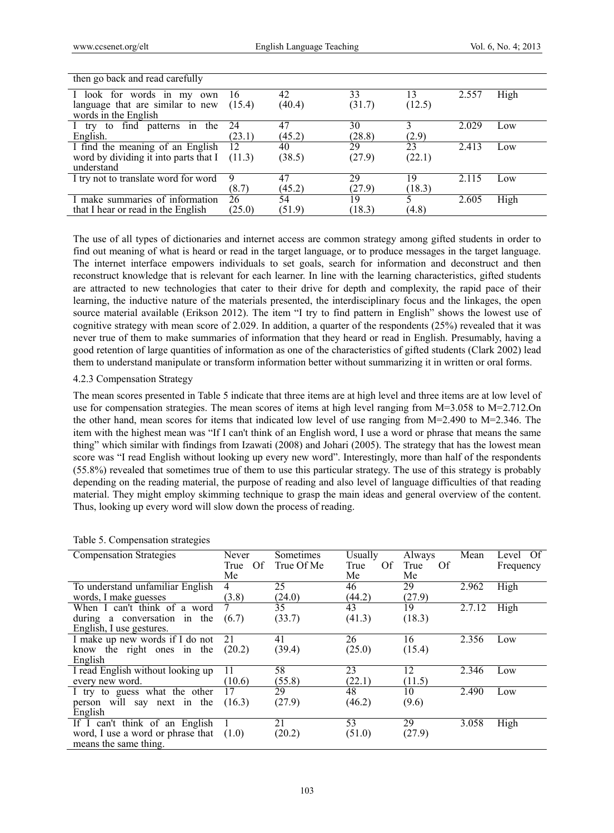| then go back and read carefully                                                         |              |              |              |              |         |                 |
|-----------------------------------------------------------------------------------------|--------------|--------------|--------------|--------------|---------|-----------------|
| I look for words in my own<br>language that are similar to new<br>words in the English  | 16<br>(15.4) | 42<br>(40.4) | 33<br>(31.7) | 13<br>(12.5) | 2.557   | High            |
| find patterns in the<br>1 try to<br>English.                                            | 24<br>(23.1) | 47<br>(45.2) | 30<br>(28.8) | (2.9)        | 2.029   | L <sub>ow</sub> |
| I find the meaning of an English<br>word by dividing it into parts that I<br>understand | 12<br>(11.3) | 40<br>(38.5) | 29<br>(27.9) | 23<br>(22.1) | 2.413   | L <sub>ow</sub> |
| I try not to translate word for word                                                    | 9<br>(8.7)   | 47<br>(45.2) | 29<br>(27.9) | 19<br>(18.3) | 2 1 1 5 | L <sub>ow</sub> |
| I make summaries of information<br>that I hear or read in the English                   | 26<br>(25.0) | 54<br>(51.9) | 19<br>(18.3) | (4.8)        | 2.605   | High            |

The use of all types of dictionaries and internet access are common strategy among gifted students in order to find out meaning of what is heard or read in the target language, or to produce messages in the target language. The internet interface empowers individuals to set goals, search for information and deconstruct and then reconstruct knowledge that is relevant for each learner. In line with the learning characteristics, gifted students are attracted to new technologies that cater to their drive for depth and complexity, the rapid pace of their learning, the inductive nature of the materials presented, the interdisciplinary focus and the linkages, the open source material available (Erikson 2012). The item "I try to find pattern in English" shows the lowest use of cognitive strategy with mean score of 2.029. In addition, a quarter of the respondents (25%) revealed that it was never true of them to make summaries of information that they heard or read in English. Presumably, having a good retention of large quantities of information as one of the characteristics of gifted students (Clark 2002) lead them to understand manipulate or transform information better without summarizing it in written or oral forms.

#### 4.2.3 Compensation Strategy

The mean scores presented in Table 5 indicate that three items are at high level and three items are at low level of use for compensation strategies. The mean scores of items at high level ranging from M=3.058 to M=2.712.On the other hand, mean scores for items that indicated low level of use ranging from M=2.490 to M=2.346. The item with the highest mean was "If I can't think of an English word, I use a word or phrase that means the same thing" which similar with findings from Izawati (2008) and Johari (2005). The strategy that has the lowest mean score was "I read English without looking up every new word". Interestingly, more than half of the respondents (55.8%) revealed that sometimes true of them to use this particular strategy. The use of this strategy is probably depending on the reading material, the purpose of reading and also level of language difficulties of that reading material. They might employ skimming technique to grasp the main ideas and general overview of the content. Thus, looking up every word will slow down the process of reading.

| <b>Compensation Strategies</b>               | Never      | Sometimes  | Usually    | Always     | Mean                | Of<br>Level |
|----------------------------------------------|------------|------------|------------|------------|---------------------|-------------|
|                                              | True<br>Of | True Of Me | Of<br>True | True<br>Of |                     | Frequency   |
|                                              | Me         |            | Me         | Me         |                     |             |
| To understand unfamiliar English             | 4          | 25         | 46         | 29         | 2.962               | High        |
| words, I make guesses                        | (3.8)      | (24.0)     | (44.2)     | (27.9)     |                     |             |
| When I can't think of a word                 |            | 35         | 43         | 19         | $\overline{2.7.12}$ | High        |
| during a conversation in the                 | (6.7)      | (33.7)     | (41.3)     | (18.3)     |                     |             |
| English, I use gestures.                     |            |            |            |            |                     |             |
| I make up new words if $\overline{1}$ do not | 21         | 41         | 26         | 16         | 2.356               | Low         |
| know the right ones in the                   | (20.2)     | (39.4)     | (25.0)     | (15.4)     |                     |             |
| English                                      |            |            |            |            |                     |             |
| I read English without looking up            | 11         | 58         | 23         | 12         | 2.346               | Low         |
| every new word.                              | (10.6)     | (55.8)     | (22.1)     | (11.5)     |                     |             |
| I try to guess what the other                | 17         | 29         | 48         | 10         | 2.490               | Low         |
| person will say next in the                  | (16.3)     | (27.9)     | (46.2)     | (9.6)      |                     |             |
| English                                      |            |            |            |            |                     |             |
| If I can't think of an English               |            | 21         | 53         | 29         | 3.058               | High        |
| word, I use a word or phrase that            | (1.0)      | (20.2)     | (51.0)     | (27.9)     |                     |             |
| means the same thing.                        |            |            |            |            |                     |             |
|                                              |            |            |            |            |                     |             |

#### Table 5. Compensation strategies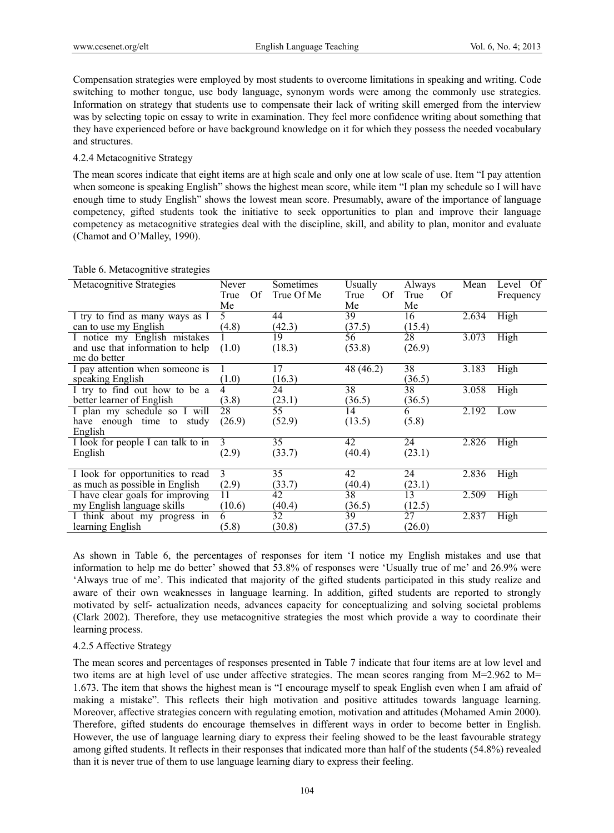Compensation strategies were employed by most students to overcome limitations in speaking and writing. Code switching to mother tongue, use body language, synonym words were among the commonly use strategies. Information on strategy that students use to compensate their lack of writing skill emerged from the interview was by selecting topic on essay to write in examination. They feel more confidence writing about something that they have experienced before or have background knowledge on it for which they possess the needed vocabulary and structures.

# 4.2.4 Metacognitive Strategy

The mean scores indicate that eight items are at high scale and only one at low scale of use. Item "I pay attention when someone is speaking English" shows the highest mean score, while item "I plan my schedule so I will have enough time to study English" shows the lowest mean score. Presumably, aware of the importance of language competency, gifted students took the initiative to seek opportunities to plan and improve their language competency as metacognitive strategies deal with the discipline, skill, and ability to plan, monitor and evaluate (Chamot and O'Malley, 1990).

| Metacognitive Strategies           | Never      | Sometimes  | <b>Usually</b> | Always     | Mean  | Level $Of$  |
|------------------------------------|------------|------------|----------------|------------|-------|-------------|
|                                    | Of<br>True | True Of Me | True<br>Of     | True<br>Of |       | Frequency   |
|                                    | Me         |            | Me             | Me         |       |             |
| I try to find as many ways as I    | 5.         | 44         | 39.            | 16         | 2.634 | High        |
| can to use my English              | (4.8)      | (42.3)     | (37.5)         | (15.4)     |       |             |
| I notice my English mistakes       |            | 19         | 56             | 28         | 3.073 | <b>High</b> |
| and use that information to help   | (1.0)      | (18.3)     | (53.8)         | (26.9)     |       |             |
| me do better                       |            |            |                |            |       |             |
| I pay attention when someone is    |            | 17         | 48 (46.2)      | 38         | 3.183 | High        |
| speaking English                   | (1.0)      | (16.3)     |                | (36.5)     |       |             |
| I try to find out how to be a      | 4          | 24         | 38             | 38         | 3.058 | High        |
| better learner of English          | (3.8)      | (23.1)     | (36.5)         | (36.5)     |       |             |
| I plan my schedule so I will       | 28         | 55         | 14             | 6          | 2.192 | Low         |
| have enough time to study          | (26.9)     | (52.9)     | (13.5)         | (5.8)      |       |             |
| English                            |            |            |                |            |       |             |
| I look for people I can talk to in | 3          | 35         | 42             | 24         | 2.826 | High        |
| English                            | (2.9)      | (33.7)     | (40.4)         | (23.1)     |       |             |
|                                    |            |            |                |            |       |             |
| I look for opportunities to read   | 3          | 35         | 42             | 24         | 2.836 | High        |
| as much as possible in English     | (2.9)      | (33.7)     | (40.4)         | (23.1)     |       |             |
| I have clear goals for improving   | 11         | 42         | 38             | 13         | 2.509 | High        |
| my English language skills         | (10.6)     | (40.4)     | (36.5)         | (12.5)     |       |             |
| I think about my progress in       | 6          | 32         | 39             | 27         | 2.837 | High        |
| learning English                   | (5.8)      | (30.8)     | (37.5)         | (26.0)     |       |             |

#### Table 6. Metacognitive strategies

As shown in Table 6, the percentages of responses for item 'I notice my English mistakes and use that information to help me do better' showed that 53.8% of responses were 'Usually true of me' and 26.9% were 'Always true of me'. This indicated that majority of the gifted students participated in this study realize and aware of their own weaknesses in language learning. In addition, gifted students are reported to strongly motivated by self- actualization needs, advances capacity for conceptualizing and solving societal problems (Clark 2002). Therefore, they use metacognitive strategies the most which provide a way to coordinate their learning process.

# 4.2.5 Affective Strategy

The mean scores and percentages of responses presented in Table 7 indicate that four items are at low level and two items are at high level of use under affective strategies. The mean scores ranging from M=2.962 to M= 1.673. The item that shows the highest mean is "I encourage myself to speak English even when I am afraid of making a mistake". This reflects their high motivation and positive attitudes towards language learning. Moreover, affective strategies concern with regulating emotion, motivation and attitudes (Mohamed Amin 2000). Therefore, gifted students do encourage themselves in different ways in order to become better in English. However, the use of language learning diary to express their feeling showed to be the least favourable strategy among gifted students. It reflects in their responses that indicated more than half of the students (54.8%) revealed than it is never true of them to use language learning diary to express their feeling.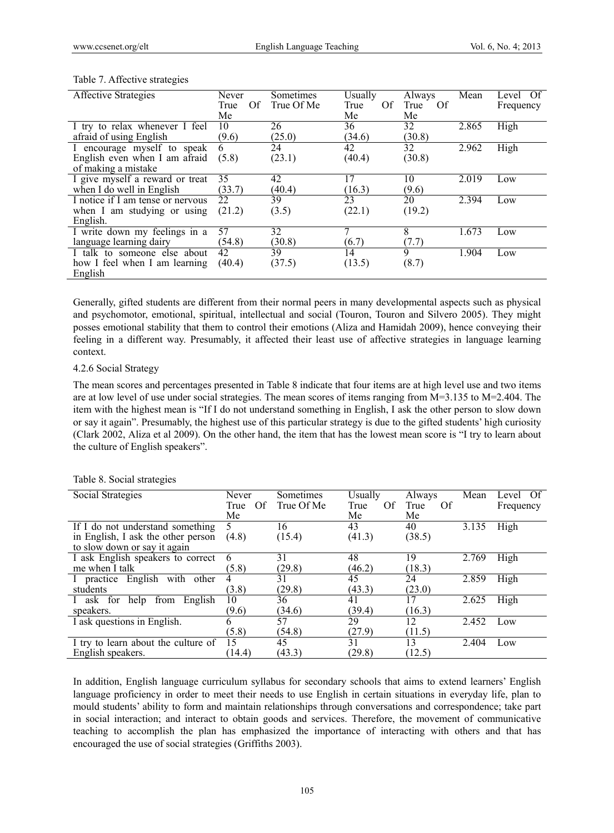| <b>Affective Strategies</b>                                 | Never      | Sometimes  | Usually    | Always     | Mean  | Of<br>Level |
|-------------------------------------------------------------|------------|------------|------------|------------|-------|-------------|
|                                                             | True<br>Of | True Of Me | Of<br>True | True<br>Of |       | Frequency   |
|                                                             | Мe         |            | Me         | Me         |       |             |
| I try to relax whenever I feel                              | 10         | 26         | 36         | 32         | 2.865 | High        |
| afraid of using English                                     | (9.6)      | (25.0)     | (34.6)     | (30.8)     |       |             |
| I encourage myself to speak                                 | 6          | 24         | 42         | 32         | 2.962 | High        |
| English even when I am afraid                               | (5.8)      | (23.1)     | (40.4)     | (30.8)     |       |             |
| of making a mistake                                         |            |            |            |            |       |             |
| I give myself a reward or treat                             | 35         | 42         | 17         | 10         | 2.019 | Low         |
| when I do well in English                                   | (33.7)     | (40.4)     | (16.3)     | (9.6)      |       |             |
| $\overline{I}$ notice if $\overline{I}$ am tense or nervous | 22         | 39         | 23         | 20         | 2.394 | Low         |
| when I am studying or using                                 | (21.2)     | (3.5)      | (22.1)     | (19.2)     |       |             |
| English.                                                    |            |            |            |            |       |             |
| I write down my feelings in a                               | 57         | 32         |            | 8          | 1.673 | Low         |
| language learning dairy                                     | (54.8)     | (30.8)     | (6.7)      | (7.7)      |       |             |
| I talk to someone else about                                | 42         | 39.        | 14         | 9          | 1.904 | Low         |
| how I feel when I am learning                               | (40.4)     | (37.5)     | (13.5)     | (8.7)      |       |             |
| English                                                     |            |            |            |            |       |             |

#### Table 7. Affective strategies

Generally, gifted students are different from their normal peers in many developmental aspects such as physical and psychomotor, emotional, spiritual, intellectual and social (Touron, Touron and Silvero 2005). They might posses emotional stability that them to control their emotions (Aliza and Hamidah 2009), hence conveying their feeling in a different way. Presumably, it affected their least use of affective strategies in language learning context.

#### 4.2.6 Social Strategy

The mean scores and percentages presented in Table 8 indicate that four items are at high level use and two items are at low level of use under social strategies. The mean scores of items ranging from M=3.135 to M=2.404. The item with the highest mean is "If I do not understand something in English, I ask the other person to slow down or say it again". Presumably, the highest use of this particular strategy is due to the gifted students' high curiosity (Clark 2002, Aliza et al 2009). On the other hand, the item that has the lowest mean score is "I try to learn about the culture of English speakers".

| Social Strategies                   | Never         | Sometimes  | Usually    | Always     | Mean  | Of<br>Level |
|-------------------------------------|---------------|------------|------------|------------|-------|-------------|
|                                     | Of \,<br>True | True Of Me | Of<br>True | True<br>Of |       | Frequency   |
|                                     | Me            |            | Me         | Me         |       |             |
| If I do not understand something    |               | 16         | 43         | 40         | 3.135 | High        |
| in English, I ask the other person  | (4.8)         | (15.4)     | (41.3)     | (38.5)     |       |             |
| to slow down or say it again        |               |            |            |            |       |             |
| I ask English speakers to correct   | 6             | 31         | 48         | 19         | 2.769 | High        |
| me when I talk                      | (5.8)         | (29.8)     | (46.2)     | (18.3)     |       |             |
| I practice English with other       |               | 31         | 45         | 24         | 2.859 | High        |
| students                            | (3.8)         | (29.8)     | (43.3)     | (23.0)     |       |             |
| I ask for help from English         | 10            | 36         | 41         | 17         | 2.625 | High        |
| speakers.                           | (9.6)         | (34.6)     | (39.4)     | (16.3)     |       |             |
| I ask questions in English.         |               | 57         | 29         | 12         | 2.452 | Low         |
|                                     | (5.8)         | (54.8)     | (27.9)     | (11.5)     |       |             |
| I try to learn about the culture of | 15            | 45         | 31         | 13         | 2.404 | Low         |
| English speakers.                   | (14.4)        | (43.3)     | (29.8)     | (12.5)     |       |             |

Table 8. Social strategies

In addition, English language curriculum syllabus for secondary schools that aims to extend learners' English language proficiency in order to meet their needs to use English in certain situations in everyday life, plan to mould students' ability to form and maintain relationships through conversations and correspondence; take part in social interaction; and interact to obtain goods and services. Therefore, the movement of communicative teaching to accomplish the plan has emphasized the importance of interacting with others and that has encouraged the use of social strategies (Griffiths 2003).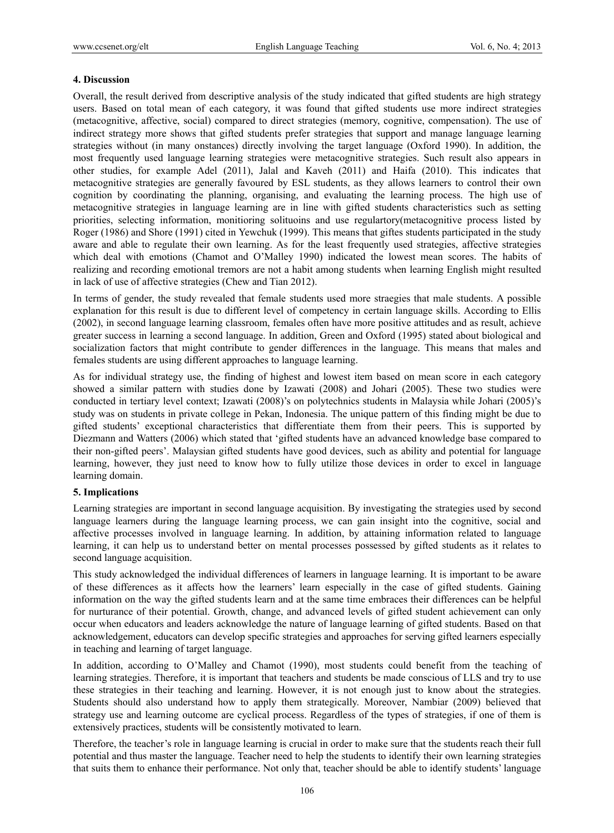#### **4. Discussion**

Overall, the result derived from descriptive analysis of the study indicated that gifted students are high strategy users. Based on total mean of each category, it was found that gifted students use more indirect strategies (metacognitive, affective, social) compared to direct strategies (memory, cognitive, compensation). The use of indirect strategy more shows that gifted students prefer strategies that support and manage language learning strategies without (in many onstances) directly involving the target language (Oxford 1990). In addition, the most frequently used language learning strategies were metacognitive strategies. Such result also appears in other studies, for example Adel (2011), Jalal and Kaveh (2011) and Haifa (2010). This indicates that metacognitive strategies are generally favoured by ESL students, as they allows learners to control their own cognition by coordinating the planning, organising, and evaluating the learning process. The high use of metacognitive strategies in language learning are in line with gifted students characteristics such as setting priorities, selecting information, monitioring solituoins and use regulartory(metacognitive process listed by Roger (1986) and Shore (1991) cited in Yewchuk (1999). This means that giftes students participated in the study aware and able to regulate their own learning. As for the least frequently used strategies, affective strategies which deal with emotions (Chamot and O'Malley 1990) indicated the lowest mean scores. The habits of realizing and recording emotional tremors are not a habit among students when learning English might resulted in lack of use of affective strategies (Chew and Tian 2012).

In terms of gender, the study revealed that female students used more straegies that male students. A possible explanation for this result is due to different level of competency in certain language skills. According to Ellis (2002), in second language learning classroom, females often have more positive attitudes and as result, achieve greater success in learning a second language. In addition, Green and Oxford (1995) stated about biological and socialization factors that might contribute to gender differences in the language. This means that males and females students are using different approaches to language learning.

As for individual strategy use, the finding of highest and lowest item based on mean score in each category showed a similar pattern with studies done by Izawati (2008) and Johari (2005). These two studies were conducted in tertiary level context; Izawati (2008)'s on polytechnics students in Malaysia while Johari (2005)'s study was on students in private college in Pekan, Indonesia. The unique pattern of this finding might be due to gifted students' exceptional characteristics that differentiate them from their peers. This is supported by Diezmann and Watters (2006) which stated that 'gifted students have an advanced knowledge base compared to their non-gifted peers'. Malaysian gifted students have good devices, such as ability and potential for language learning, however, they just need to know how to fully utilize those devices in order to excel in language learning domain.

# **5. Implications**

Learning strategies are important in second language acquisition. By investigating the strategies used by second language learners during the language learning process, we can gain insight into the cognitive, social and affective processes involved in language learning. In addition, by attaining information related to language learning, it can help us to understand better on mental processes possessed by gifted students as it relates to second language acquisition.

This study acknowledged the individual differences of learners in language learning. It is important to be aware of these differences as it affects how the learners' learn especially in the case of gifted students. Gaining information on the way the gifted students learn and at the same time embraces their differences can be helpful for nurturance of their potential. Growth, change, and advanced levels of gifted student achievement can only occur when educators and leaders acknowledge the nature of language learning of gifted students. Based on that acknowledgement, educators can develop specific strategies and approaches for serving gifted learners especially in teaching and learning of target language.

In addition, according to O'Malley and Chamot (1990), most students could benefit from the teaching of learning strategies. Therefore, it is important that teachers and students be made conscious of LLS and try to use these strategies in their teaching and learning. However, it is not enough just to know about the strategies. Students should also understand how to apply them strategically. Moreover, Nambiar (2009) believed that strategy use and learning outcome are cyclical process. Regardless of the types of strategies, if one of them is extensively practices, students will be consistently motivated to learn.

Therefore, the teacher's role in language learning is crucial in order to make sure that the students reach their full potential and thus master the language. Teacher need to help the students to identify their own learning strategies that suits them to enhance their performance. Not only that, teacher should be able to identify students' language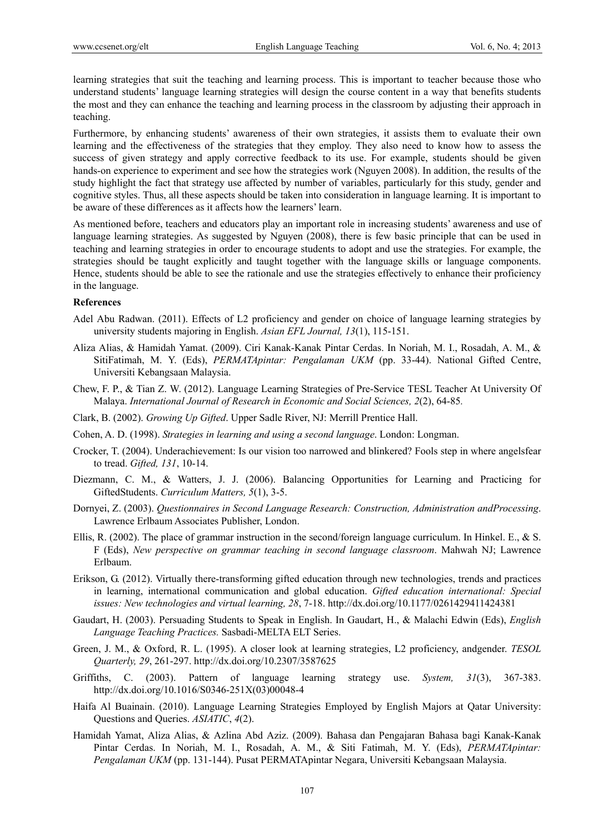learning strategies that suit the teaching and learning process. This is important to teacher because those who understand students' language learning strategies will design the course content in a way that benefits students the most and they can enhance the teaching and learning process in the classroom by adjusting their approach in teaching.

Furthermore, by enhancing students' awareness of their own strategies, it assists them to evaluate their own learning and the effectiveness of the strategies that they employ. They also need to know how to assess the success of given strategy and apply corrective feedback to its use. For example, students should be given hands-on experience to experiment and see how the strategies work (Nguyen 2008). In addition, the results of the study highlight the fact that strategy use affected by number of variables, particularly for this study, gender and cognitive styles. Thus, all these aspects should be taken into consideration in language learning. It is important to be aware of these differences as it affects how the learners' learn.

As mentioned before, teachers and educators play an important role in increasing students' awareness and use of language learning strategies. As suggested by Nguyen (2008), there is few basic principle that can be used in teaching and learning strategies in order to encourage students to adopt and use the strategies. For example, the strategies should be taught explicitly and taught together with the language skills or language components. Hence, students should be able to see the rationale and use the strategies effectively to enhance their proficiency in the language.

#### **References**

- Adel Abu Radwan. (2011). Effects of L2 proficiency and gender on choice of language learning strategies by university students majoring in English. *Asian EFL Journal, 13*(1), 115-151.
- Aliza Alias, & Hamidah Yamat. (2009). Ciri Kanak-Kanak Pintar Cerdas. In Noriah, M. I., Rosadah, A. M., & SitiFatimah, M. Y. (Eds), *PERMATApintar: Pengalaman UKM* (pp. 33-44). National Gifted Centre, Universiti Kebangsaan Malaysia.
- Chew, F. P., & Tian Z. W. (2012). Language Learning Strategies of Pre-Service TESL Teacher At University Of Malaya. *International Journal of Research in Economic and Social Sciences, 2*(2), 64-85*.*
- Clark, B. (2002). *Growing Up Gifted*. Upper Sadle River, NJ: Merrill Prentice Hall.
- Cohen, A. D. (1998). *Strategies in learning and using a second language*. London: Longman.
- Crocker, T. (2004). Underachievement: Is our vision too narrowed and blinkered? Fools step in where angelsfear to tread. *Gifted, 131*, 10-14.
- Diezmann, C. M., & Watters, J. J. (2006). Balancing Opportunities for Learning and Practicing for GiftedStudents. *Curriculum Matters, 5*(1), 3-5.
- Dornyei, Z. (2003). *Questionnaires in Second Language Research: Construction, Administration andProcessing*. Lawrence Erlbaum Associates Publisher, London.
- Ellis, R. (2002). The place of grammar instruction in the second/foreign language curriculum. In Hinkel. E., & S. F (Eds), *New perspective on grammar teaching in second language classroom*. Mahwah NJ; Lawrence Erlbaum.
- Erikson, G. (2012). Virtually there-transforming gifted education through new technologies, trends and practices in learning, international communication and global education. *Gifted education international: Special issues: New technologies and virtual learning, 28*, 7-18. http://dx.doi.org/10.1177/0261429411424381
- Gaudart, H. (2003). Persuading Students to Speak in English. In Gaudart, H., & Malachi Edwin (Eds), *English Language Teaching Practices.* Sasbadi-MELTA ELT Series.
- Green, J. M., & Oxford, R. L. (1995). A closer look at learning strategies, L2 proficiency, andgender. *TESOL Quarterly, 29*, 261-297. http://dx.doi.org/10.2307/3587625
- Griffiths, C. (2003). Pattern of language learning strategy use. *System, 31*(3), 367-383. http://dx.doi.org/10.1016/S0346-251X(03)00048-4
- Haifa Al Buainain. (2010). Language Learning Strategies Employed by English Majors at Qatar University: Questions and Queries. *ASIATIC*, *4*(2).
- Hamidah Yamat, Aliza Alias, & Azlina Abd Aziz. (2009). Bahasa dan Pengajaran Bahasa bagi Kanak-Kanak Pintar Cerdas. In Noriah, M. I., Rosadah, A. M., & Siti Fatimah, M. Y. (Eds), *PERMATApintar: Pengalaman UKM* (pp. 131-144). Pusat PERMATApintar Negara, Universiti Kebangsaan Malaysia.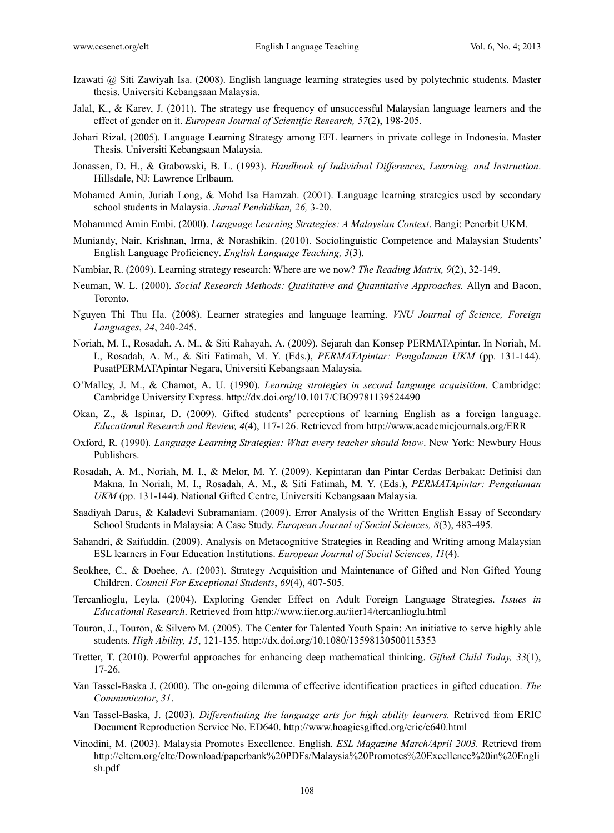- Izawati @ Siti Zawiyah Isa. (2008). English language learning strategies used by polytechnic students. Master thesis. Universiti Kebangsaan Malaysia.
- Jalal, K., & Karev, J. (2011). The strategy use frequency of unsuccessful Malaysian language learners and the effect of gender on it. *European Journal of Scientific Research, 57*(2), 198-205.
- Johari Rizal. (2005). Language Learning Strategy among EFL learners in private college in Indonesia. Master Thesis. Universiti Kebangsaan Malaysia.
- Jonassen, D. H., & Grabowski, B. L. (1993). *Handbook of Individual Differences, Learning, and Instruction*. Hillsdale, NJ: Lawrence Erlbaum.
- Mohamed Amin, Juriah Long, & Mohd Isa Hamzah. (2001). Language learning strategies used by secondary school students in Malaysia. *Jurnal Pendidikan, 26,* 3-20.
- Mohammed Amin Embi. (2000). *Language Learning Strategies: A Malaysian Context*. Bangi: Penerbit UKM.
- Muniandy, Nair, Krishnan, Irma, & Norashikin. (2010). Sociolinguistic Competence and Malaysian Students' English Language Proficiency. *English Language Teaching, 3*(3).
- Nambiar, R. (2009). Learning strategy research: Where are we now? *The Reading Matrix, 9*(2), 32-149.
- Neuman, W. L. (2000). *Social Research Methods: Qualitative and Quantitative Approaches.* Allyn and Bacon, Toronto.
- Nguyen Thi Thu Ha. (2008). Learner strategies and language learning. *VNU Journal of Science, Foreign Languages*, *24*, 240-245.
- Noriah, M. I., Rosadah, A. M., & Siti Rahayah, A. (2009). Sejarah dan Konsep PERMATApintar. In Noriah, M. I., Rosadah, A. M., & Siti Fatimah, M. Y. (Eds.), *PERMATApintar: Pengalaman UKM* (pp. 131-144). PusatPERMATApintar Negara, Universiti Kebangsaan Malaysia.
- O'Malley, J. M., & Chamot, A. U. (1990). *Learning strategies in second language acquisition*. Cambridge: Cambridge University Express. http://dx.doi.org/10.1017/CBO9781139524490
- Okan, Z., & Ispinar, D. (2009). Gifted students' perceptions of learning English as a foreign language. *Educational Research and Review, 4*(4), 117-126. Retrieved from http://www.academicjournals.org/ERR
- Oxford, R. (1990)*. Language Learning Strategies: What every teacher should know*. New York: Newbury Hous Publishers.
- Rosadah, A. M., Noriah, M. I., & Melor, M. Y. (2009). Kepintaran dan Pintar Cerdas Berbakat: Definisi dan Makna. In Noriah, M. I., Rosadah, A. M., & Siti Fatimah, M. Y. (Eds.), *PERMATApintar: Pengalaman UKM* (pp. 131-144). National Gifted Centre, Universiti Kebangsaan Malaysia.
- Saadiyah Darus, & Kaladevi Subramaniam. (2009). Error Analysis of the Written English Essay of Secondary School Students in Malaysia: A Case Study. *European Journal of Social Sciences, 8*(3), 483-495.
- Sahandri, & Saifuddin. (2009). Analysis on Metacognitive Strategies in Reading and Writing among Malaysian ESL learners in Four Education Institutions. *European Journal of Social Sciences, 11*(4).
- Seokhee, C., & Doehee, A. (2003). Strategy Acquisition and Maintenance of Gifted and Non Gifted Young Children. *Council For Exceptional Students*, *69*(4), 407-505.
- Tercanlioglu, Leyla. (2004). Exploring Gender Effect on Adult Foreign Language Strategies. *Issues in Educational Research*. Retrieved from http://www.iier.org.au/iier14/tercanlioglu.html
- Touron, J., Touron, & Silvero M. (2005). The Center for Talented Youth Spain: An initiative to serve highly able students. *High Ability, 15*, 121-135. http://dx.doi.org/10.1080/13598130500115353
- Tretter, T. (2010). Powerful approaches for enhancing deep mathematical thinking. *Gifted Child Today, 33*(1), 17-26.
- Van Tassel-Baska J. (2000). The on-going dilemma of effective identification practices in gifted education. *The Communicator*, *31*.
- Van Tassel-Baska, J. (2003). *Differentiating the language arts for high ability learners.* Retrived from ERIC Document Reproduction Service No. ED640. http://www.hoagiesgifted.org/eric/e640.html
- Vinodini, M. (2003). Malaysia Promotes Excellence. English. *ESL Magazine March/April 2003.* Retrievd from http://eltcm.org/eltc/Download/paperbank%20PDFs/Malaysia%20Promotes%20Excellence%20in%20Engli sh.pdf